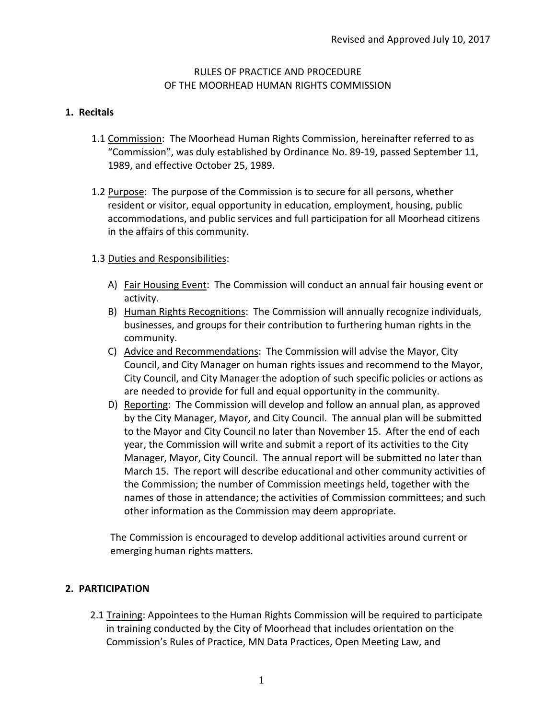### RULES OF PRACTICE AND PROCEDURE OF THE MOORHEAD HUMAN RIGHTS COMMISSION

### **1. Recitals**

- 1.1 Commission: The Moorhead Human Rights Commission, hereinafter referred to as "Commission", was duly established by Ordinance No. 89-19, passed September 11, 1989, and effective October 25, 1989.
- 1.2 Purpose: The purpose of the Commission is to secure for all persons, whether resident or visitor, equal opportunity in education, employment, housing, public accommodations, and public services and full participation for all Moorhead citizens in the affairs of this community.

### 1.3 Duties and Responsibilities:

- A) Fair Housing Event: The Commission will conduct an annual fair housing event or activity.
- B) Human Rights Recognitions: The Commission will annually recognize individuals, businesses, and groups for their contribution to furthering human rights in the community.
- C) Advice and Recommendations: The Commission will advise the Mayor, City Council, and City Manager on human rights issues and recommend to the Mayor, City Council, and City Manager the adoption of such specific policies or actions as are needed to provide for full and equal opportunity in the community.
- D) Reporting: The Commission will develop and follow an annual plan, as approved by the City Manager, Mayor, and City Council. The annual plan will be submitted to the Mayor and City Council no later than November 15. After the end of each year, the Commission will write and submit a report of its activities to the City Manager, Mayor, City Council. The annual report will be submitted no later than March 15. The report will describe educational and other community activities of the Commission; the number of Commission meetings held, together with the names of those in attendance; the activities of Commission committees; and such other information as the Commission may deem appropriate.

The Commission is encouraged to develop additional activities around current or emerging human rights matters.

# **2. PARTICIPATION**

2.1 Training: Appointees to the Human Rights Commission will be required to participate in training conducted by the City of Moorhead that includes orientation on the Commission's Rules of Practice, MN Data Practices, Open Meeting Law, and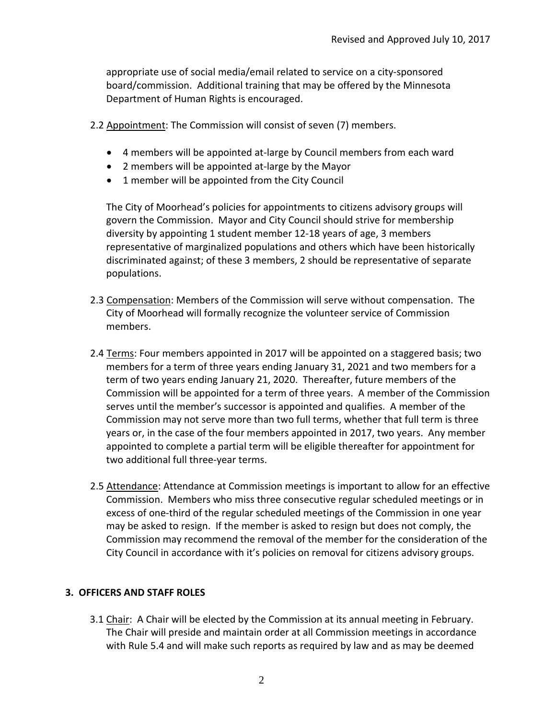appropriate use of social media/email related to service on a city-sponsored board/commission. Additional training that may be offered by the Minnesota Department of Human Rights is encouraged.

- 2.2 Appointment: The Commission will consist of seven (7) members.
	- 4 members will be appointed at-large by Council members from each ward
	- 2 members will be appointed at-large by the Mayor
	- 1 member will be appointed from the City Council

The City of Moorhead's policies for appointments to citizens advisory groups will govern the Commission. Mayor and City Council should strive for membership diversity by appointing 1 student member 12-18 years of age, 3 members representative of marginalized populations and others which have been historically discriminated against; of these 3 members, 2 should be representative of separate populations.

- 2.3 Compensation: Members of the Commission will serve without compensation. The City of Moorhead will formally recognize the volunteer service of Commission members.
- 2.4 Terms: Four members appointed in 2017 will be appointed on a staggered basis; two members for a term of three years ending January 31, 2021 and two members for a term of two years ending January 21, 2020. Thereafter, future members of the Commission will be appointed for a term of three years. A member of the Commission serves until the member's successor is appointed and qualifies. A member of the Commission may not serve more than two full terms, whether that full term is three years or, in the case of the four members appointed in 2017, two years. Any member appointed to complete a partial term will be eligible thereafter for appointment for two additional full three-year terms.
- 2.5 Attendance: Attendance at Commission meetings is important to allow for an effective Commission. Members who miss three consecutive regular scheduled meetings or in excess of one-third of the regular scheduled meetings of the Commission in one year may be asked to resign. If the member is asked to resign but does not comply, the Commission may recommend the removal of the member for the consideration of the City Council in accordance with it's policies on removal for citizens advisory groups.

#### **3. OFFICERS AND STAFF ROLES**

3.1 Chair: A Chair will be elected by the Commission at its annual meeting in February. The Chair will preside and maintain order at all Commission meetings in accordance with Rule 5.4 and will make such reports as required by law and as may be deemed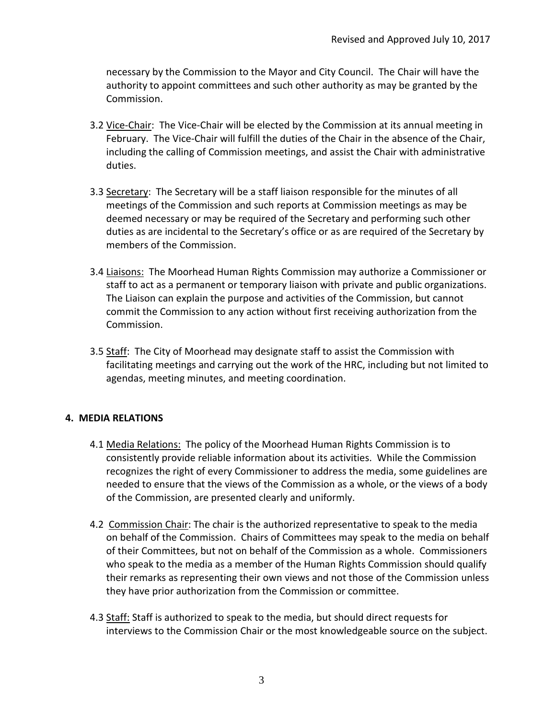necessary by the Commission to the Mayor and City Council. The Chair will have the authority to appoint committees and such other authority as may be granted by the Commission.

- 3.2 Vice-Chair: The Vice-Chair will be elected by the Commission at its annual meeting in February. The Vice-Chair will fulfill the duties of the Chair in the absence of the Chair, including the calling of Commission meetings, and assist the Chair with administrative duties.
- 3.3 Secretary: The Secretary will be a staff liaison responsible for the minutes of all meetings of the Commission and such reports at Commission meetings as may be deemed necessary or may be required of the Secretary and performing such other duties as are incidental to the Secretary's office or as are required of the Secretary by members of the Commission.
- 3.4 Liaisons: The Moorhead Human Rights Commission may authorize a Commissioner or staff to act as a permanent or temporary liaison with private and public organizations. The Liaison can explain the purpose and activities of the Commission, but cannot commit the Commission to any action without first receiving authorization from the Commission.
- 3.5 Staff: The City of Moorhead may designate staff to assist the Commission with facilitating meetings and carrying out the work of the HRC, including but not limited to agendas, meeting minutes, and meeting coordination.

# **4. MEDIA RELATIONS**

- 4.1 Media Relations: The policy of the Moorhead Human Rights Commission is to consistently provide reliable information about its activities. While the Commission recognizes the right of every Commissioner to address the media, some guidelines are needed to ensure that the views of the Commission as a whole, or the views of a body of the Commission, are presented clearly and uniformly.
- 4.2 Commission Chair: The chair is the authorized representative to speak to the media on behalf of the Commission. Chairs of Committees may speak to the media on behalf of their Committees, but not on behalf of the Commission as a whole. Commissioners who speak to the media as a member of the Human Rights Commission should qualify their remarks as representing their own views and not those of the Commission unless they have prior authorization from the Commission or committee.
- 4.3 Staff: Staff is authorized to speak to the media, but should direct requests for interviews to the Commission Chair or the most knowledgeable source on the subject.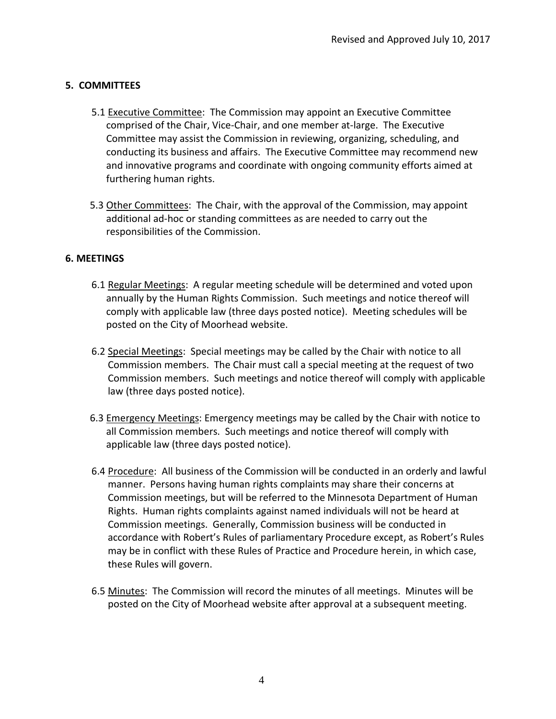# **5. COMMITTEES**

- 5.1 Executive Committee: The Commission may appoint an Executive Committee comprised of the Chair, Vice-Chair, and one member at-large. The Executive Committee may assist the Commission in reviewing, organizing, scheduling, and conducting its business and affairs. The Executive Committee may recommend new and innovative programs and coordinate with ongoing community efforts aimed at furthering human rights.
- 5.3 Other Committees: The Chair, with the approval of the Commission, may appoint additional ad-hoc or standing committees as are needed to carry out the responsibilities of the Commission.

### **6. MEETINGS**

- 6.1 Regular Meetings: A regular meeting schedule will be determined and voted upon annually by the Human Rights Commission. Such meetings and notice thereof will comply with applicable law (three days posted notice). Meeting schedules will be posted on the City of Moorhead website.
- 6.2 Special Meetings: Special meetings may be called by the Chair with notice to all Commission members. The Chair must call a special meeting at the request of two Commission members. Such meetings and notice thereof will comply with applicable law (three days posted notice).
- 6.3 Emergency Meetings: Emergency meetings may be called by the Chair with notice to all Commission members. Such meetings and notice thereof will comply with applicable law (three days posted notice).
- 6.4 Procedure: All business of the Commission will be conducted in an orderly and lawful manner. Persons having human rights complaints may share their concerns at Commission meetings, but will be referred to the Minnesota Department of Human Rights. Human rights complaints against named individuals will not be heard at Commission meetings. Generally, Commission business will be conducted in accordance with Robert's Rules of parliamentary Procedure except, as Robert's Rules may be in conflict with these Rules of Practice and Procedure herein, in which case, these Rules will govern.
- 6.5 Minutes: The Commission will record the minutes of all meetings. Minutes will be posted on the City of Moorhead website after approval at a subsequent meeting.